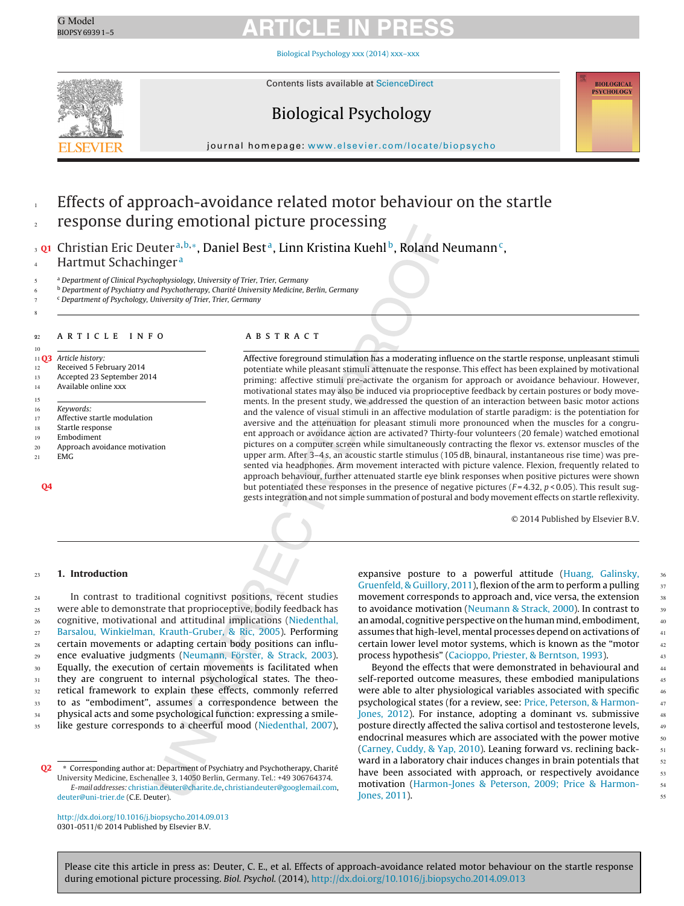Biological [Psychology](dx.doi.org/10.1016/j.biopsycho.2014.09.013) xxx (2014) xxx–xxx



Contents lists available at [ScienceDirect](http://www.sciencedirect.com/science/journal/03010511)

## Biological Psychology



iournal homepage: [www.elsevier.com/locate/biopsycho](http://www.elsevier.com/locate/biopsycho)

## Effects of approach-avoidance related motor behaviour on the startle response during emotional picture processing

Christian Eric Deuter<sup>a, b,∗</sup>, Daniel Best<sup>a</sup>, Linn Kristina Kuehl<sup>b</sup>, Roland Neumann<sup>c</sup>, Hartmut Schachinger <sup>a</sup>  $3\overline{01}$ 4

<sup>a</sup> Department of Clinical Psychophysiology, University of Trier, Trier, Germany 5

- **b** Department of Psychiatry and Psychotherapy, Charité University Medicine, Berlin, Germany 6
- <sup>c</sup> Department of Psychology, University of Trier, Trier, Germany 7

#### ARTICLE INFO 9 22

Article history: 11 03

1

8

10

Received 5 February 2014 12 13

- Accepted 23 September 2014 Available online xxx 14
- 15
- Keywords: 16
- Affective startle modulation 17
- Startle response 18
- Embodiment 19
- Approach avoidance motivation 20
- EMG 21

## a b s t r a c t

**Q3** Affective foreground stimulation has a moderating influence on the startle response, unpleasant stimuli potentiate while pleasant stimuli attenuate the response. This effect has been explained by motivational priming: affective stimuli pre-activate the organism for approach or avoidance behaviour. However, motivational states may also be induced via proprioceptive feedback by certain postures or body movements. In the present study, we addressed the question of an interaction between basic motor actions and the valence of visual stimuli in an affective modulation of startle paradigm: is the potentiation for aversive and the attenuation for pleasant stimuli more pronounced when the muscles for a congruent approach or avoidance action are activated? Thirty-four volunteers (20 female) watched emotional pictures on a computer screen while simultaneously contracting the flexor vs. extensor muscles of the upper arm. After 3–4 s, an acoustic startle stimulus (105 dB, binaural, instantaneous rise time) was presented via headphones. Arm movement interacted with picture valence. Flexion, frequently related to approach behaviour, further attenuated startle eye blink responses when positive pictures were shown **Q4** but potentiated these responses in the presence of negative pictures (F=4.32, p < 0.05). This result suggests integration and not simple summation of postural and body movement effects on startle reflexivity.

© 2014 Published by Elsevier B.V.

#### **1. Introduction** 23

In contrast to traditional cognitivst positions, recent studies were able to demonstrate that proprioceptive, bodily feedback has cognitive, motivational and attitudinal implications [\(Niedenthal,](#page-4-0) [Barsalou,](#page-4-0) [Winkielman,](#page-4-0) [Krauth-Gruber,](#page-4-0) [&](#page-4-0) [Ric,](#page-4-0) [2005\).](#page-4-0) Performing certain movements or adapting certain body positions can influence evaluative judgments [\(Neumann,](#page-4-0) [Förster,](#page-4-0) [&](#page-4-0) [Strack,](#page-4-0) [2003\).](#page-4-0) Equally, the execution of certain movements is facilitated when they are congruent to internal psychological states. The theoretical framework to explain these effects, commonly referred to as "embodiment", assumes a correspondence between the physical acts and some psychological function: expressing a smilelike gesture corresponds to a cheerful mood ([Niedenthal,](#page-4-0) [2007\),](#page-4-0) 24 25 26 27 28 29 30 31 32 33 34 35

**Q2** ∗ Corresponding author at: Department of Psychiatry and Psychotherapy, Charité University Medicine, Eschenallee 3, 14050 Berlin, Germany. Tel.: +49 306764374. E-mail addresses: [christian.deuter@charite.de](mailto:christian.deuter@charite.de), [christiandeuter@googlemail.com](mailto:christiandeuter@googlemail.com), [deuter@uni-trier.de](mailto:deuter@uni-trier.de) (C.E. Deuter).

[http://dx.doi.org/10.1016/j.biopsycho.2014.09.013](dx.doi.org/10.1016/j.biopsycho.2014.09.013) 0301-0511/© 2014 Published by Elsevier B.V.

expansive posture to a powerful attitude ([Huang,](#page-4-0) [Galinsky,](#page-4-0) [Gruenfeld,](#page-4-0) [&](#page-4-0) [Guillory,](#page-4-0) [2011\),](#page-4-0) flexion of the arm to perform a pulling movement corresponds to approach and, vice versa, the extension to avoidance motivation [\(Neumann](#page-4-0) [&](#page-4-0) [Strack,](#page-4-0) [2000\).](#page-4-0) In contrast to an amodal, cognitive perspective on the human mind, embodiment, assumes that high-level, mental processes depend on activations of certain lower level motor systems, which is known as the "motor process hypothesis" [\(Cacioppo,](#page-4-0) [Priester,](#page-4-0) [&](#page-4-0) [Berntson,](#page-4-0) [1993\).](#page-4-0)

Beyond the effects that were demonstrated in behavioural and self-reported outcome measures, these embodied manipulations were able to alter physiological variables associated with specific psychological states (for a review, see: [Price,](#page-4-0) [Peterson,](#page-4-0) [&](#page-4-0) [Harmon-](#page-4-0)Jones, [2012\).](#page-4-0) For instance, adopting a dominant vs. submissive posture directly affected the saliva cortisol and testosterone levels, endocrinal measures which are associated with the power motive [\(Carney,](#page-4-0) [Cuddy,](#page-4-0) [&](#page-4-0) [Yap,](#page-4-0) [2010\).](#page-4-0) Leaning forward vs. reclining backward in a laboratory chair induces changes in brain potentials that have been associated with approach, or respectively avoidance motivation [\(Harmon-Jones](#page-4-0) [&](#page-4-0) [Peterson,](#page-4-0) [2009;](#page-4-0) [Price](#page-4-0) [&](#page-4-0) [Harmon-](#page-4-0)Jones, [2011\).](#page-4-0)

Please cite this article in press as: Deuter, C. E., et al. Effects of approach-avoidance related motor behaviour on the startle response during emotional picture processing. Biol. Psychol. (2014), [http://dx.doi.org/10.1016/j.biopsycho.2014.09.013](dx.doi.org/10.1016/j.biopsycho.2014.09.013)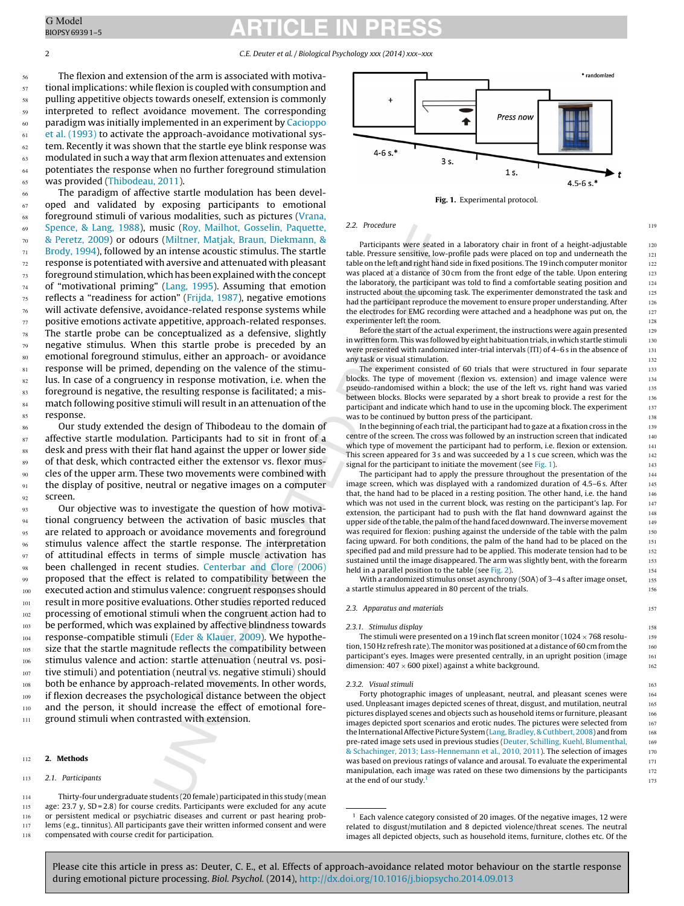76

81

91  $92$ 

# <span id="page-1-0"></span>G Model G Model **ARTICLE IN PRESS**

## 2 C.E. Deuter et al. / Biological Psychology xxx (2014) xxx–xxx

The flexion and extension of the arm is associated with motivational implications: while flexion is coupled with consumption and pulling appetitive objects towards oneself, extension is commonly interpreted to reflect avoidance movement. The corresponding paradigm was initially implemented in an experiment by [Cacioppo](#page-4-0) et [al.](#page-4-0) [\(1993\)](#page-4-0) to activate the approach-avoidance motivational system. Recently it was shown that the startle eye blink response was modulated in such a way that arm flexion attenuates and extension potentiates the response when no further foreground stimulation was provided ([Thibodeau,](#page-4-0) [2011\).](#page-4-0)

The paradigm of affective startle modulation has been developed and validated by exposing participants to emotional foreground stimuli of various modalities, such as pictures [\(Vrana,](#page-4-0) [Spence,](#page-4-0) [&](#page-4-0) [Lang,](#page-4-0) [1988\),](#page-4-0) music ([Roy,](#page-4-0) [Mailhot,](#page-4-0) [Gosselin,](#page-4-0) [Paquette,](#page-4-0) [&](#page-4-0) [Peretz,](#page-4-0) [2009\)](#page-4-0) or odours ([Miltner,](#page-4-0) [Matjak,](#page-4-0) [Braun,](#page-4-0) [Diekmann,](#page-4-0) [&](#page-4-0) [Brody,](#page-4-0) [1994\),](#page-4-0) followed by an intense acoustic stimulus. The startle response is potentiated with aversive and attenuated with pleasant foreground stimulation, which has been explained with the concept of "motivational priming" ([Lang,](#page-4-0) [1995\).](#page-4-0) Assuming that emotion reflects a "readiness for action" ([Frijda,](#page-4-0) [1987\),](#page-4-0) negative emotions will activate defensive, avoidance-related response systems while positive emotions activate appetitive, approach-related responses. The startle probe can be conceptualized as a defensive, slightly negative stimulus. When this startle probe is preceded by an emotional foreground stimulus, either an approach- or avoidance response will be primed, depending on the valence of the stimulus. In case of a congruency in response motivation, i.e. when the foreground is negative, the resulting response is facilitated; a mismatch following positive stimuli will result in an attenuation of the response. 66 67 68 69 70 71 72 73 74 75 77 78 79 80 82 83 84 85

Our study extended the design of Thibodeau to the domain of affective startle modulation. Participants had to sit in front of a desk and press with their flat hand against the upper or lower side of that desk, which contracted either the extensor vs. flexor muscles of the upper arm. These two movements were combined with the display of positive, neutral or negative images on a computer screen. 90

Our objective was to investigate the question of how motivational congruency between the activation of basic muscles that are related to approach or avoidance movements and foreground stimulus valence affect the startle response. The interpretation of attitudinal effects in terms of simple muscle activation has been challenged in recent studies. [Centerbar](#page-4-0) [and](#page-4-0) [Clore](#page-4-0) [\(2006\)](#page-4-0) proposed that the effect is related to compatibility between the executed action and stimulus valence: congruent responses should result in more positive evaluations. Other studies reported reduced processing of emotional stimuli when the congruent action had to be performed, which was explained by affective blindness towards response-compatible stimuli ([Eder](#page-4-0) [&](#page-4-0) [Klauer,](#page-4-0) [2009\).](#page-4-0) We hypothesize that the startle magnitude reflects the compatibility between stimulus valence and action: startle attenuation (neutral vs. positive stimuli) and potentiation (neutral vs. negative stimuli) should both be enhance by approach-related movements. In other words, if flexion decreases the psychological distance between the object and the person, it should increase the effect of emotional foreground stimuli when contrasted with extension. 93 94 95 96 97 98 99 100 101 102 103 104 105 106 107 108 109 110 111

#### **2. Methods** 112

#### 2.1. Participants 113

Thirty-four undergraduate students (20 female) participated in this study (mean age:  $23.7$  y,  $SD = 2.8$ ) for course credits. Participants were excluded for any acute or persistent medical or psychiatric diseases and current or past hearing problems (e.g., tinnitus). All participants gave their written informed consent and were compensated with course credit for participation. 114 115 116 117 118





## 2.2. Procedure

Participants were seated in a laboratory chair in front of a height-adjustable table. Pressure sensitive, low-profile pads were placed on top and underneath the table on the left and right hand side in fixed positions. The 19 inch computer monitor was placed at a distance of 30 cm from the front edge of the table. Upon entering the laboratory, the participant was told to find a comfortable seating position and instructed about the upcoming task. The experimenter demonstrated the task and had the participant reproduce the movement to ensure proper understanding. After the electrodes for EMG recording were attached and a headphone was put on, the experimenter left the room.

Before the start of the actual experiment, the instructions were again presented in written form. This was followed by eight habituation trials, in which startle stimuli were presented with randomized inter-trial intervals (ITI) of 4–6 s in the absence of any task or visual stimulation.

The experiment consisted of 60 trials that were structured in four separate blocks. The type of movement (flexion vs. extension) and image valence were pseudo-randomised within a block; the use of the left vs. right hand was varied between blocks. Blocks were separated by a short break to provide a rest for the participant and indicate which hand to use in the upcoming block. The experiment was to be continued by button press of the participant.

In the beginning of each trial, the participant had to gaze at a fixation cross in the centre of the screen. The cross was followed by an instruction screen that indicated which type of movement the participant had to perform, i.e. flexion or extension. This screen appeared for 3 s and was succeeded by a 1 s cue screen, which was the signal for the participant to initiate the movement (see Fig. 1).

The participant had to apply the pressure throughout the presentation of the image screen, which was displayed with a randomized duration of 4.5–6 s. After that, the hand had to be placed in a resting position. The other hand, i.e. the hand which was not used in the current block, was resting on the participant's lap. For extension, the participant had to push with the flat hand downward against the upper side of the table, the palm of the hand faced downward. The inverse movement was required for flexion: pushing against the underside of the table with the palm facing upward. For both conditions, the palm of the hand had to be placed on the specified pad and mild pressure had to be applied. This moderate tension had to be sustained until the image disappeared. The arm was slightly bent, with the forearm held in a parallel position to the table (see [Fig.](#page-2-0) 2).

With a randomized stimulus onset asynchrony (SOA) of 3–4 s after image onset, a startle stimulus appeared in 80 percent of the trials.

## 2.3. Apparatus and materials

## 2.3.1. Stimulus display

The stimuli were presented on a 19 inch flat screen monitor (1024  $\times$  768 resolution, 150 Hz refresh rate). The monitor was positioned at a distance of 60 cm from the participant's eyes. Images were presented centrally, in an upright position (image dimension:  $407 \times 600$  pixel) against a white background.

### 2.3.2. Visual stimuli

Forty photographic images of unpleasant, neutral, and pleasant scenes were used. Unpleasant images depicted scenes of threat, disgust, and mutilation, neutral pictures displayed scenes and objects such as household items or furniture, pleasant images depicted sport scenarios and erotic nudes. The pictures were selected from the International Affective Picture System (Lang, Bradley, [&](#page-4-0) [Cuthbert,](#page-4-0) [2008\)](#page-4-0) and from pre-rated image sets used in previous studies [\(Deuter,](#page-4-0) [Schilling,](#page-4-0) [Kuehl,](#page-4-0) [Blumenthal,](#page-4-0) [&](#page-4-0) [Schachinger,](#page-4-0) [2013;](#page-4-0) [Lass-Hennemann](#page-4-0) et [al.,](#page-4-0) [2010,](#page-4-0) [2011\).](#page-4-0) The selection of images was based on previous ratings of valance and arousal. To evaluate the experimental manipulation, each image was rated on these two dimensions by the participants at the end of our study.<sup>1</sup>

 $^{\rm 1}$  Each valence category consisted of 20 images. Of the negative images, 12 were related to disgust/mutilation and 8 depicted violence/threat scenes. The neutral images all depicted objects, such as household items, furniture, clothes etc. Of the

173

Please cite this article in press as: Deuter, C. E., et al. Effects of approach-avoidance related motor behaviour on the startle response during emotional picture processing. Biol. Psychol. (2014), [http://dx.doi.org/10.1016/j.biopsycho.2014.09.013](dx.doi.org/10.1016/j.biopsycho.2014.09.013)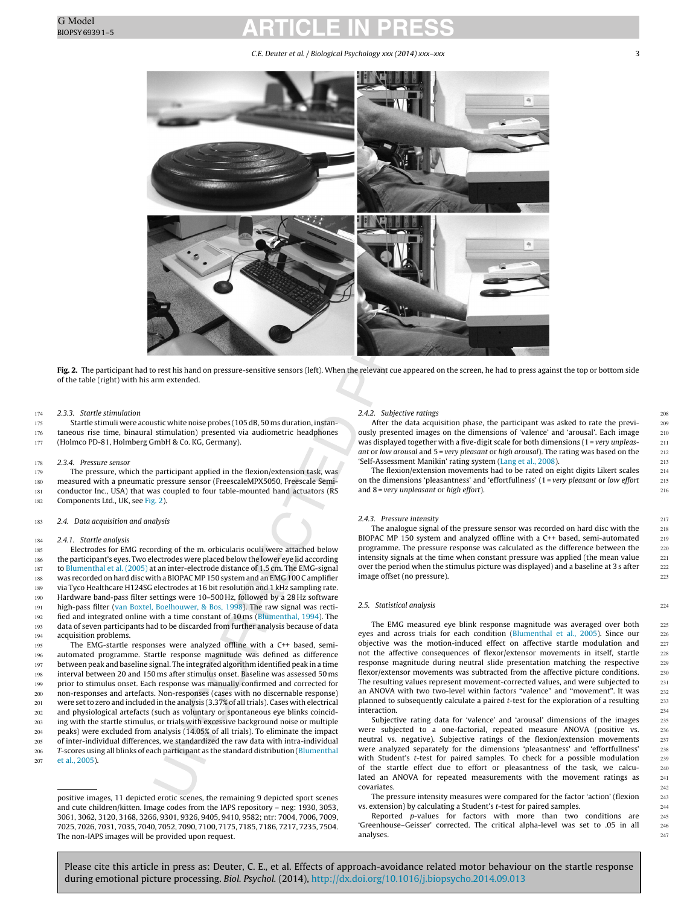C.E. Deuter et al. / Biological Psychology xxx (2014) xxx–xxx 3

<span id="page-2-0"></span>

**Fig. 2.** The participant had to rest his hand on pressure-sensitive sensors (left). When the relevant cue appeared on the screen, he had to press against the top or bottom side of the table (right) with his arm extended.

#### 2.3.3. Startle stimulation 174

Startle stimuli were acoustic white noise probes (105 dB, 50 ms duration, instantaneous rise time, binaural stimulation) presented via audiometric headphones (Holmco PD-81, Holmberg GmbH & Co. KG, Germany). 175 176 177

#### 2.3.4. Pressure sensor 178

The pressure, which the participant applied in the flexion/extension task, was measured with a pneumatic pressure sensor (FreescaleMPX5050, Freescale Semiconductor Inc., USA) that was coupled to four table-mounted hand actuators (RS Components Ltd., UK, see Fig. 2). 179 180 181 182

#### 2.4. Data acquisition and analysis 183

#### 2.4.1. Startle analysis 184

Electrodes for EMG recording of the m. orbicularis oculi were attached below the participant's eyes. Two electrodes were placed below the lower eye lid according to [Blumenthal](#page-4-0) et [al.](#page-4-0) [\(2005\)](#page-4-0) at an inter-electrode distance of 1.5 cm. The EMG-signal was recorded on hard disc with a BIOPAC MP 150 system and an EMG 100 C amplifier via Tyco Healthcare H124SG electrodes at 16 bit resolution and 1 kHz sampling rate. Hardware band-pass filter settings were 10–500 Hz, followed by a 28 Hz software high-pass filter [\(van](#page-4-0) [Boxtel,](#page-4-0) [Boelhouwer,](#page-4-0) [&](#page-4-0) [Bos,](#page-4-0) [1998\).](#page-4-0) The raw signal was rectified and integrated online with a time constant of 10 ms [\(Blumenthal,](#page-4-0) [1994\).](#page-4-0) The data of seven participants had to be discarded from further analysis because of data acquisition problems. 185 186 187 188 189 190 191 192 193 194

The EMG-startle responses were analyzed offline with a C++ based, semiautomated programme. Startle response magnitude was defined as difference between peak and baseline signal. The integrated algorithm identified peak in a time interval between 20 and 150 ms after stimulus onset. Baseline was assessed 50 ms prior to stimulus onset. Each response was manually confirmed and corrected for non-responses and artefacts. Non-responses (cases with no discernable response) were set to zero and included in the analysis (3.37% of all trials). Cases with electrical and physiological artefacts (such as voluntary or spontaneous eye blinks coinciding with the startle stimulus, or trials with excessive background noise or multiple peaks) were excluded from analysis (14.05% of all trials). To eliminate the impact of inter-individual differences, we standardized the raw data with intra-individual T-scores using all blinks of each participant as the standard distribution ([Blumenthal](#page-4-0) et [al.,](#page-4-0) [2005\).](#page-4-0) 195 196 197 198 199 200 201 202 203 204 205 206 207

positive images, 11 depicted erotic scenes, the remaining 9 depicted sport scenes and cute children/kitten. Image codes from the IAPS repository – neg: 1930, 3053, 3061, 3062, 3120, 3168, 3266, 9301, 9326, 9405, 9410, 9582; ntr: 7004, 7006, 7009, 7025, 7026, 7031, 7035, 7040, 7052, 7090, 7100, 7175, 7185, 7186, 7217, 7235, 7504. The non-IAPS images will be provided upon request.

### 2.4.2. Subjective ratings

After the data acquisition phase, the participant was asked to rate the previously presented images on the dimensions of 'valence' and 'arousal'. Each image was displayed together with a five-digit scale for both dimensions  $(1 = \text{very unpleasant})$ ant or low arousal and 5 = very pleasant or high arousal). The rating was based on the 'Self-Assessment Manikin' rating system [\(Lang](#page-4-0) et [al.,](#page-4-0) [2008\).](#page-4-0)

The flexion/extension movements had to be rated on eight digits Likert scales on the dimensions 'pleasantness' and 'effortfullness' (1 = very pleasant or low effort and 8 = very unpleasant or high effort).

### 2.4.3. Pressure intensity

The analogue signal of the pressure sensor was recorded on hard disc with the BIOPAC MP 150 system and analyzed offline with a C++ based, semi-automated programme. The pressure response was calculated as the difference between the intensity signals at the time when constant pressure was applied (the mean value over the period when the stimulus picture was displayed) and a baseline at 3 s after image offset (no pressure).

## 2.5. Statistical analysis

The EMG measured eye blink response magnitude was averaged over both eyes and across trials for each condition [\(Blumenthal](#page-4-0) et [al.,](#page-4-0) [2005\).](#page-4-0) Since our objective was the motion-induced effect on affective startle modulation and not the affective consequences of flexor/extensor movements in itself, startle response magnitude during neutral slide presentation matching the respective flexor/extensor movements was subtracted from the affective picture conditions. The resulting values represent movement-corrected values, and were subjected to an ANOVA with two two-level within factors "valence" and "movement". It was planned to subsequently calculate a paired t-test for the exploration of a resulting interaction.

Subjective rating data for 'valence' and 'arousal' dimensions of the images were subjected to a one-factorial, repeated measure ANOVA (positive vs. neutral vs. negative). Subjective ratings of the flexion/extension movements were analyzed separately for the dimensions 'pleasantness' and 'effortfullness' with Student's t-test for paired samples. To check for a possible modulation of the startle effect due to effort or pleasantness of the task, we calculated an ANOVA for repeated measurements with the movement ratings as covariates.

The pressure intensity measures were compared for the factor 'action' (flexion vs. extension) by calculating a Student's t-test for paired samples.

Reported p-values for factors with more than two conditions are 'Greenhouse–Geisser' corrected. The critical alpha-level was set to .05 in all analyses.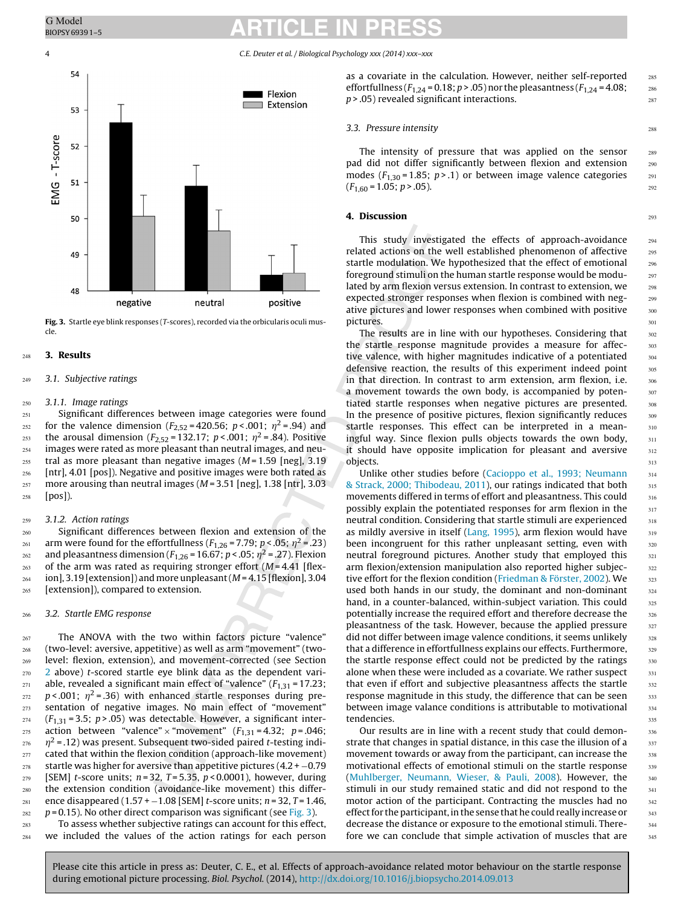4 C.E. Deuter et al. / Biological Psychology xxx (2014) xxx–xxx



**Fig. 3.** Startle eye blink responses (T-scores), recorded via the orbicularis oculi muscle.

#### **3. Results** 248

#### 3.1. Subjective ratings 249

#### 3.1.1. Image ratings 250

Significant differences between image categories were found for the valence dimension ( $F_{2,52}$ =420.56;  $p < .001$ ;  $\eta^2$ =.94) and the arousal dimension ( $F_{2,52}$  = 132.17;  $p < .001$ ;  $\eta^2$  = .84). Positive images were rated as more pleasant than neutral images, and neutral as more pleasant than negative images  $(M = 1.59$  [neg], 3.19 [ntr], 4.01 [pos]). Negative and positive images were both rated as more arousing than neutral images ( $M = 3.51$  [neg], 1.38 [ntr], 3.03 [pos]). 251 252 253 254 255 256 257 258

#### 3.1.2. Action ratings 259

Significant differences between flexion and extension of the arm were found for the effortfullness ( $F_{1,26}$  = 7.79;  $p$  < .05;  $\eta^2$  = .23) and pleasantness dimension (F<sub>1,26</sub> = 16.67; p < .05;  $\eta^2$  = .27). Flexion of the arm was rated as requiring stronger effort  $(M=4.41$  [flexion], 3.19 [extension]) and more unpleasant  $(M = 4.15$  [flexion], 3.04 [extension]), compared to extension. 260 261 262 263 264 265

#### 3.2. Startle EMG response 266

284

The ANOVA with the two within factors picture "valence" (two-level: aversive, appetitive) as well as arm "movement" (twolevel: flexion, extension), and movement-corrected (see Section [2](#page-1-0) above) t-scored startle eye blink data as the dependent variable, revealed a significant main effect of "valence"  $(F_{1,31} = 17.23)$ ;  $p<$  .001;  $\eta^2$  = .36) with enhanced startle responses during presentation of negative images. No main effect of "movement"  $(F_{1,31} = 3.5; p > .05)$  was detectable. However, a significant interaction between "valence"  $\times$  "movement" ( $F_{1,31}$  = 4.32; p = .046;  $\eta^2$  = .12) was present. Subsequent two-sided paired t-testing indicated that within the flexion condition (approach-like movement) startle was higher for aversive than appetitive pictures (4.2 + −0.79 [SEM] t-score units;  $n = 32$ ,  $T = 5.35$ ,  $p < 0.0001$ ), however, during the extension condition (avoidance-like movement) this difference disappeared  $(1.57 + -1.08$  [SEM] t-score units;  $n = 32$ ,  $T = 1.46$ ,  $p = 0.15$ ). No other direct comparison was significant (see Fig. 3). 267 268 269 270 271 272 273 274 275 276 277 278 279 280 281 282 283

To assess whether subjective ratings can account for this effect, we included the values of the action ratings for each person

Please cite this article in press as: Deuter, C. E., et al. Effects of approach-avoidance related motor behaviour on the startle response

during emotional picture processing. Biol. Psychol. (2014), [http://dx.doi.org/10.1016/j.biopsycho.2014.09.013](dx.doi.org/10.1016/j.biopsycho.2014.09.013)

as a covariate in the calculation. However, neither self-reported effortfullness ( $F_{1,24}$  = 0.18;  $p > .05$ ) nor the pleasantness ( $F_{1,24}$  = 4.08;  $p$  > .05) revealed significant interactions.

## 3.3. Pressure intensity

The intensity of pressure that was applied on the sensor pad did not differ significantly between flexion and extension modes ( $F_{1,30}$  = 1.85;  $p > .1$ ) or between image valence categories  $(F_{1,60} = 1.05; p > .05)$ .

## **4. Discussion**

This study investigated the effects of approach-avoidance related actions on the well established phenomenon of affective startle modulation. We hypothesized that the effect of emotional foreground stimuli on the human startle response would be modulated by arm flexion versus extension. In contrast to extension, we expected stronger responses when flexion is combined with negative pictures and lower responses when combined with positive pictures.

The results are in line with our hypotheses. Considering that the startle response magnitude provides a measure for affective valence, with higher magnitudes indicative of a potentiated defensive reaction, the results of this experiment indeed point in that direction. In contrast to arm extension, arm flexion, i.e. a movement towards the own body, is accompanied by potentiated startle responses when negative pictures are presented. In the presence of positive pictures, flexion significantly reduces startle responses. This effect can be interpreted in a meaningful way. Since flexion pulls objects towards the own body, it should have opposite implication for pleasant and aversive objects.

Unlike other studies before ([Cacioppo](#page-4-0) et [al.,](#page-4-0) [1993;](#page-4-0) [Neumann](#page-4-0) [&](#page-4-0) [Strack,](#page-4-0) [2000;](#page-4-0) [Thibodeau,](#page-4-0) [2011\),](#page-4-0) our ratings indicated that both movements differed in terms of effort and pleasantness. This could possibly explain the potentiated responses for arm flexion in the neutral condition. Considering that startle stimuli are experienced as mildly aversive in itself ([Lang,](#page-4-0) [1995\),](#page-4-0) arm flexion would have been incongruent for this rather unpleasant setting, even with neutral foreground pictures. Another study that employed this arm flexion/extension manipulation also reported higher subjective effort for the flexion condition [\(Friedman](#page-4-0) [&](#page-4-0) [Förster,](#page-4-0) [2002\).](#page-4-0) We used both hands in our study, the dominant and non-dominant hand, in a counter-balanced, within-subject variation. This could potentially increase the required effort and therefore decrease the pleasantness of the task. However, because the applied pressure did not differ between image valence conditions, it seems unlikely that a difference in effortfullness explains our effects. Furthermore, the startle response effect could not be predicted by the ratings alone when these were included as a covariate. We rather suspect that even if effort and subjective pleasantness affects the startle response magnitude in this study, the difference that can be seen between image valance conditions is attributable to motivational tendencies.

Our results are in line with a recent study that could demonstrate that changes in spatial distance, in this case the illusion of a movement towards or away from the participant, can increase the motivational effects of emotional stimuli on the startle response [\(Muhlberger,](#page-4-0) [Neumann,](#page-4-0) [Wieser,](#page-4-0) [&](#page-4-0) [Pauli,](#page-4-0) [2008\).](#page-4-0) However, the stimuli in our study remained static and did not respond to the motor action of the participant. Contracting the muscles had no effect for the participant, in the sense that he could really increase or decrease the distance or exposure to the emotional stimuli. Therefore we can conclude that simple activation of muscles that are 287 288 289

290 291

285 286